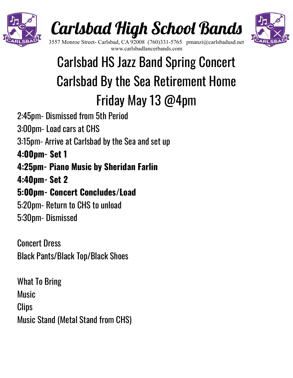

# Carlsbad High School Bands



3557 Monroe Street- Carlsbad, CA 92008 (760)331-5765 pmanzi@carlsbadusd.net www.carlsbadlancerbands.com

## Carlsbad HS Jazz Band Spring Concert Carlsbad By the Sea Retirement Home Friday May 13 @4pm

- 2:45pm- Dismissed from 5th Period
- 3:00pm- Load cars at CHS
- 3:15pm- Arrive at Carlsbad by the Sea and set up
- **4:00pm- Set 1**
- **4:25pm- Piano Music by Sheridan Farlin**
- **4:40pm- Set 2**

### **5:00pm- Concert Concludes/Load**

5:20pm- Return to CHS to unload 5:30pm- Dismissed

Concert Dress Black Pants/Black Top/Black Shoes

What To Bring **Music Clips** Music Stand (Metal Stand from CHS)